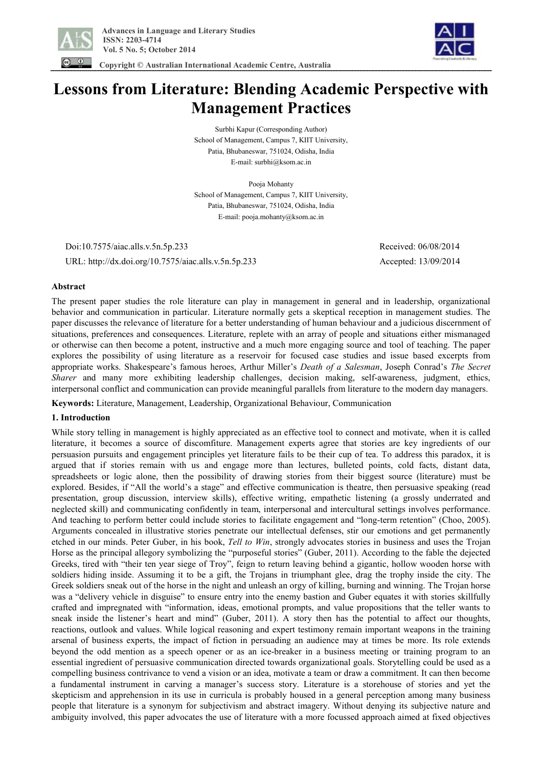



 **Copyright © Australian International Academic Centre, Australia** 

# **Lessons from Literature: Blending Academic Perspective with Management Practices**

Surbhi Kapur (Corresponding Author) School of Management, Campus 7, KIIT University, Patia, Bhubaneswar, 751024, Odisha, India E-mail: surbhi@ksom.ac.in

Pooja Mohanty School of Management, Campus 7, KIIT University, Patia, Bhubaneswar, 751024, Odisha, India E-mail: pooja.mohanty@ksom.ac.in

 Doi:10.7575/aiac.alls.v.5n.5p.233 Received: 06/08/2014 URL: http://dx.doi.org/10.7575/aiac.alls.v.5n.5p.233 Accepted: 13/09/2014

## **Abstract**

The present paper studies the role literature can play in management in general and in leadership, organizational behavior and communication in particular. Literature normally gets a skeptical reception in management studies. The paper discusses the relevance of literature for a better understanding of human behaviour and a judicious discernment of situations, preferences and consequences. Literature, replete with an array of people and situations either mismanaged or otherwise can then become a potent, instructive and a much more engaging source and tool of teaching. The paper explores the possibility of using literature as a reservoir for focused case studies and issue based excerpts from appropriate works. Shakespeare's famous heroes, Arthur Miller's *Death of a Salesman*, Joseph Conrad's *The Secret Sharer* and many more exhibiting leadership challenges, decision making, self-awareness, judgment, ethics, interpersonal conflict and communication can provide meaningful parallels from literature to the modern day managers.

**Keywords:** Literature, Management, Leadership, Organizational Behaviour, Communication

## **1. Introduction**

While story telling in management is highly appreciated as an effective tool to connect and motivate, when it is called literature, it becomes a source of discomfiture. Management experts agree that stories are key ingredients of our persuasion pursuits and engagement principles yet literature fails to be their cup of tea. To address this paradox, it is argued that if stories remain with us and engage more than lectures, bulleted points, cold facts, distant data, spreadsheets or logic alone, then the possibility of drawing stories from their biggest source (literature) must be explored. Besides, if "All the world's a stage" and effective communication is theatre, then persuasive speaking (read presentation, group discussion, interview skills), effective writing, empathetic listening (a grossly underrated and neglected skill) and communicating confidently in team, interpersonal and intercultural settings involves performance. And teaching to perform better could include stories to facilitate engagement and "long-term retention" (Choo, 2005). Arguments concealed in illustrative stories penetrate our intellectual defenses, stir our emotions and get permanently etched in our minds. Peter Guber, in his book, *Tell to Win*, strongly advocates stories in business and uses the Trojan Horse as the principal allegory symbolizing the "purposeful stories" (Guber, 2011). According to the fable the dejected Greeks, tired with "their ten year siege of Troy", feign to return leaving behind a gigantic, hollow wooden horse with soldiers hiding inside. Assuming it to be a gift, the Trojans in triumphant glee, drag the trophy inside the city. The Greek soldiers sneak out of the horse in the night and unleash an orgy of killing, burning and winning. The Trojan horse was a "delivery vehicle in disguise" to ensure entry into the enemy bastion and Guber equates it with stories skillfully crafted and impregnated with "information, ideas, emotional prompts, and value propositions that the teller wants to sneak inside the listener's heart and mind" (Guber, 2011). A story then has the potential to affect our thoughts, reactions, outlook and values. While logical reasoning and expert testimony remain important weapons in the training arsenal of business experts, the impact of fiction in persuading an audience may at times be more. Its role extends beyond the odd mention as a speech opener or as an ice-breaker in a business meeting or training program to an essential ingredient of persuasive communication directed towards organizational goals. Storytelling could be used as a compelling business contrivance to vend a vision or an idea, motivate a team or draw a commitment. It can then become a fundamental instrument in carving a manager's success story. Literature is a storehouse of stories and yet the skepticism and apprehension in its use in curricula is probably housed in a general perception among many business people that literature is a synonym for subjectivism and abstract imagery. Without denying its subjective nature and ambiguity involved, this paper advocates the use of literature with a more focussed approach aimed at fixed objectives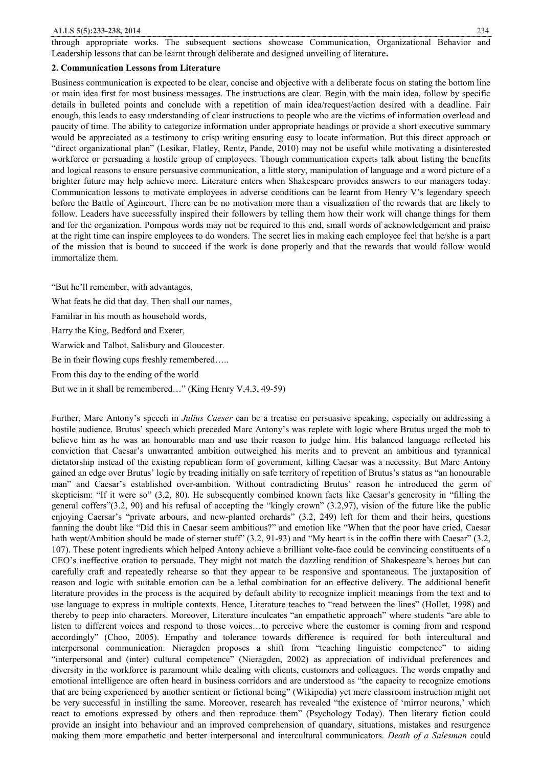#### **2. Communication Lessons from Literature**

Business communication is expected to be clear, concise and objective with a deliberate focus on stating the bottom line or main idea first for most business messages. The instructions are clear. Begin with the main idea, follow by specific details in bulleted points and conclude with a repetition of main idea/request/action desired with a deadline. Fair enough, this leads to easy understanding of clear instructions to people who are the victims of information overload and paucity of time. The ability to categorize information under appropriate headings or provide a short executive summary would be appreciated as a testimony to crisp writing ensuring easy to locate information. But this direct approach or "direct organizational plan" (Lesikar, Flatley, Rentz, Pande, 2010) may not be useful while motivating a disinterested workforce or persuading a hostile group of employees. Though communication experts talk about listing the benefits and logical reasons to ensure persuasive communication, a little story, manipulation of language and a word picture of a brighter future may help achieve more. Literature enters when Shakespeare provides answers to our managers today. Communication lessons to motivate employees in adverse conditions can be learnt from Henry V's legendary speech before the Battle of Agincourt. There can be no motivation more than a visualization of the rewards that are likely to follow. Leaders have successfully inspired their followers by telling them how their work will change things for them and for the organization. Pompous words may not be required to this end, small words of acknowledgement and praise at the right time can inspire employees to do wonders. The secret lies in making each employee feel that he/she is a part of the mission that is bound to succeed if the work is done properly and that the rewards that would follow would immortalize them.

"But he'll remember, with advantages,

What feats he did that day. Then shall our names,

Familiar in his mouth as household words,

Harry the King, Bedford and Exeter,

Warwick and Talbot, Salisbury and Gloucester.

Be in their flowing cups freshly remembered…..

From this day to the ending of the world

But we in it shall be remembered…" (King Henry V,4.3, 49-59)

Further, Marc Antony's speech in *Julius Caeser* can be a treatise on persuasive speaking, especially on addressing a hostile audience. Brutus' speech which preceded Marc Antony's was replete with logic where Brutus urged the mob to believe him as he was an honourable man and use their reason to judge him. His balanced language reflected his conviction that Caesar's unwarranted ambition outweighed his merits and to prevent an ambitious and tyrannical dictatorship instead of the existing republican form of government, killing Caesar was a necessity. But Marc Antony gained an edge over Brutus' logic by treading initially on safe territory of repetition of Brutus's status as "an honourable man" and Caesar's established over-ambition. Without contradicting Brutus' reason he introduced the germ of skepticism: "If it were so" (3.2, 80). He subsequently combined known facts like Caesar's generosity in "filling the general coffers"(3.2, 90) and his refusal of accepting the "kingly crown" (3.2,97), vision of the future like the public enjoying Caersar's "private arbours, and new-planted orchards" (3.2, 249) left for them and their heirs, questions fanning the doubt like "Did this in Caesar seem ambitious?" and emotion like "When that the poor have cried, Caesar hath wept/Ambition should be made of sterner stuff" (3.2, 91-93) and "My heart is in the coffin there with Caesar" (3.2, 107). These potent ingredients which helped Antony achieve a brilliant volte-face could be convincing constituents of a CEO's ineffective oration to persuade. They might not match the dazzling rendition of Shakespeare's heroes but can carefully craft and repeatedly rehearse so that they appear to be responsive and spontaneous. The juxtaposition of reason and logic with suitable emotion can be a lethal combination for an effective delivery. The additional benefit literature provides in the process is the acquired by default ability to recognize implicit meanings from the text and to use language to express in multiple contexts. Hence, Literature teaches to "read between the lines" (Hollet, 1998) and thereby to peep into characters. Moreover, Literature inculcates "an empathetic approach" where students "are able to listen to different voices and respond to those voices…to perceive where the customer is coming from and respond accordingly" (Choo, 2005). Empathy and tolerance towards difference is required for both intercultural and interpersonal communication. Nieragden proposes a shift from "teaching linguistic competence" to aiding "interpersonal and (inter) cultural competence" (Nieragden, 2002) as appreciation of individual preferences and diversity in the workforce is paramount while dealing with clients, customers and colleagues. The words empathy and emotional intelligence are often heard in business corridors and are understood as "the capacity to recognize emotions that are being experienced by another sentient or fictional being" (Wikipedia) yet mere classroom instruction might not be very successful in instilling the same. Moreover, research has revealed "the existence of 'mirror neurons,' which react to emotions expressed by others and then reproduce them" (Psychology Today). Then literary fiction could provide an insight into behaviour and an improved comprehension of quandary, situations, mistakes and resurgence making them more empathetic and better interpersonal and intercultural communicators. *Death of a Salesman* could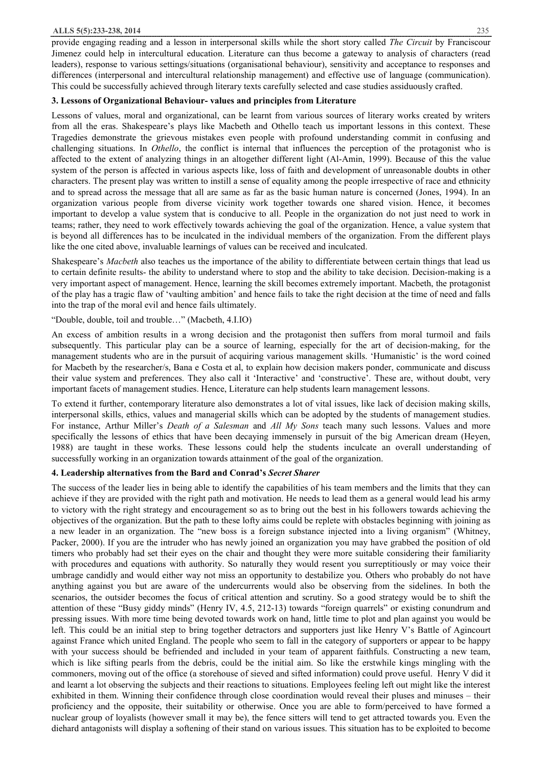provide engaging reading and a lesson in interpersonal skills while the short story called *The Circuit* by Franciscour Jimenez could help in intercultural education. Literature can thus become a gateway to analysis of characters (read leaders), response to various settings/situations (organisational behaviour), sensitivity and acceptance to responses and differences (interpersonal and intercultural relationship management) and effective use of language (communication). This could be successfully achieved through literary texts carefully selected and case studies assiduously crafted.

## **3. Lessons of Organizational Behaviour- values and principles from Literature**

Lessons of values, moral and organizational, can be learnt from various sources of literary works created by writers from all the eras. Shakespeare's plays like Macbeth and Othello teach us important lessons in this context. These Tragedies demonstrate the grievous mistakes even people with profound understanding commit in confusing and challenging situations. In *Othello*, the conflict is internal that influences the perception of the protagonist who is affected to the extent of analyzing things in an altogether different light (Al-Amin, 1999). Because of this the value system of the person is affected in various aspects like, loss of faith and development of unreasonable doubts in other characters. The present play was written to instill a sense of equality among the people irrespective of race and ethnicity and to spread across the message that all are same as far as the basic human nature is concerned (Jones, 1994). In an organization various people from diverse vicinity work together towards one shared vision. Hence, it becomes important to develop a value system that is conducive to all. People in the organization do not just need to work in teams; rather, they need to work effectively towards achieving the goal of the organization. Hence, a value system that is beyond all differences has to be inculcated in the individual members of the organization. From the different plays like the one cited above, invaluable learnings of values can be received and inculcated.

Shakespeare's *Macbeth* also teaches us the importance of the ability to differentiate between certain things that lead us to certain definite results- the ability to understand where to stop and the ability to take decision. Decision-making is a very important aspect of management. Hence, learning the skill becomes extremely important. Macbeth, the protagonist of the play has a tragic flaw of 'vaulting ambition' and hence fails to take the right decision at the time of need and falls into the trap of the moral evil and hence fails ultimately.

# "Double, double, toil and trouble…" (Macbeth, 4.I.IO)

An excess of ambition results in a wrong decision and the protagonist then suffers from moral turmoil and fails subsequently. This particular play can be a source of learning, especially for the art of decision-making, for the management students who are in the pursuit of acquiring various management skills. 'Humanistic' is the word coined for Macbeth by the researcher/s, Bana e Costa et al, to explain how decision makers ponder, communicate and discuss their value system and preferences. They also call it 'Interactive' and 'constructive'. These are, without doubt, very important facets of management studies. Hence, Literature can help students learn management lessons.

To extend it further, contemporary literature also demonstrates a lot of vital issues, like lack of decision making skills, interpersonal skills, ethics, values and managerial skills which can be adopted by the students of management studies. For instance, Arthur Miller's *Death of a Salesman* and *All My Sons* teach many such lessons. Values and more specifically the lessons of ethics that have been decaying immensely in pursuit of the big American dream (Heyen, 1988) are taught in these works. These lessons could help the students inculcate an overall understanding of successfully working in an organization towards attainment of the goal of the organization.

# **4. Leadership alternatives from the Bard and Conrad's** *Secret Sharer*

The success of the leader lies in being able to identify the capabilities of his team members and the limits that they can achieve if they are provided with the right path and motivation. He needs to lead them as a general would lead his army to victory with the right strategy and encouragement so as to bring out the best in his followers towards achieving the objectives of the organization. But the path to these lofty aims could be replete with obstacles beginning with joining as a new leader in an organization. The "new boss is a foreign substance injected into a living organism" (Whitney, Packer, 2000). If you are the intruder who has newly joined an organization you may have grabbed the position of old timers who probably had set their eyes on the chair and thought they were more suitable considering their familiarity with procedures and equations with authority. So naturally they would resent you surreptitiously or may voice their umbrage candidly and would either way not miss an opportunity to destabilize you. Others who probably do not have anything against you but are aware of the undercurrents would also be observing from the sidelines. In both the scenarios, the outsider becomes the focus of critical attention and scrutiny. So a good strategy would be to shift the attention of these "Busy giddy minds" (Henry IV, 4.5, 212-13) towards "foreign quarrels" or existing conundrum and pressing issues. With more time being devoted towards work on hand, little time to plot and plan against you would be left. This could be an initial step to bring together detractors and supporters just like Henry V's Battle of Agincourt against France which united England. The people who seem to fall in the category of supporters or appear to be happy with your success should be befriended and included in your team of apparent faithfuls. Constructing a new team, which is like sifting pearls from the debris, could be the initial aim. So like the erstwhile kings mingling with the commoners, moving out of the office (a storehouse of sieved and sifted information) could prove useful. Henry V did it and learnt a lot observing the subjects and their reactions to situations. Employees feeling left out might like the interest exhibited in them. Winning their confidence through close coordination would reveal their pluses and minuses – their proficiency and the opposite, their suitability or otherwise. Once you are able to form/perceived to have formed a nuclear group of loyalists (however small it may be), the fence sitters will tend to get attracted towards you. Even the diehard antagonists will display a softening of their stand on various issues. This situation has to be exploited to become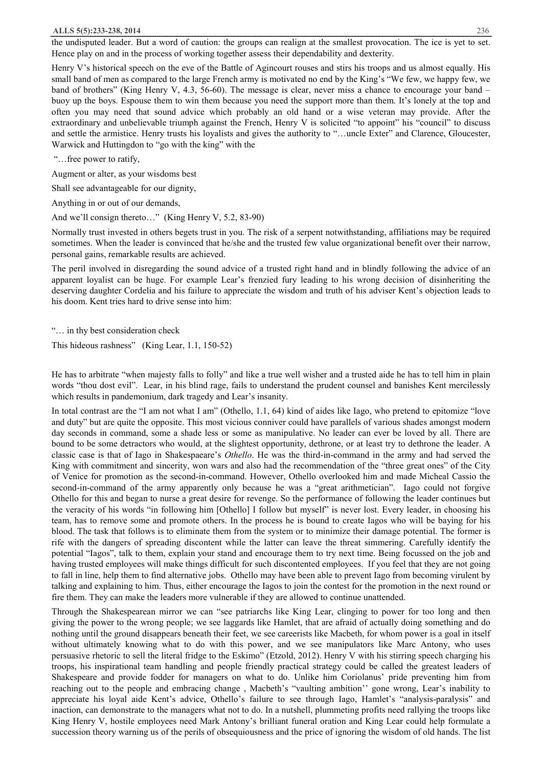#### **ALLS 5(5):233-238, 2014** 236

the undisputed leader. But a word of caution: the groups can realign at the smallest provocation. The ice is yet to set. Hence play on and in the process of working together assess their dependability and dexterity.

Henry V's historical speech on the eve of the Battle of Agincourt rouses and stirs his troops and us almost equally. His small band of men as compared to the large French army is motivated no end by the King's "We few, we happy few, we band of brothers" (King Henry V, 4.3, 56-60). The message is clear, never miss a chance to encourage your band – buoy up the boys. Espouse them to win them because you need the support more than them. It's lonely at the top and often you may need that sound advice which probably an old hand or a wise veteran may provide. After the extraordinary and unbelievable triumph against the French, Henry V is solicited "to appoint" his "council" to discuss and settle the armistice. Henry trusts his loyalists and gives the authority to "…uncle Exter" and Clarence, Gloucester, Warwick and Huttingdon to "go with the king" with the

"…free power to ratify,

Augment or alter, as your wisdoms best

Shall see advantageable for our dignity,

Anything in or out of our demands,

And we'll consign thereto..." (King Henry V, 5.2, 83-90)

Normally trust invested in others begets trust in you. The risk of a serpent notwithstanding, affiliations may be required sometimes. When the leader is convinced that he/she and the trusted few value organizational benefit over their narrow, personal gains, remarkable results are achieved.

The peril involved in disregarding the sound advice of a trusted right hand and in blindly following the advice of an apparent loyalist can be huge. For example Lear's frenzied fury leading to his wrong decision of disinheriting the deserving daughter Cordelia and his failure to appreciate the wisdom and truth of his adviser Kent's objection leads to his doom. Kent tries hard to drive sense into him:

"… in thy best consideration check

This hideous rashness" (King Lear, 1.1, 150-52)

He has to arbitrate "when majesty falls to folly" and like a true well wisher and a trusted aide he has to tell him in plain words "thou dost evil". Lear, in his blind rage, fails to understand the prudent counsel and banishes Kent mercilessly which results in pandemonium, dark tragedy and Lear's insanity.

In total contrast are the "I am not what I am" (Othello, 1.1, 64) kind of aides like Iago, who pretend to epitomize "love and duty" but are quite the opposite. This most vicious conniver could have parallels of various shades amongst modern day seconds in command, some a shade less or some as manipulative. No leader can ever be loved by all. There are bound to be some detractors who would, at the slightest opportunity, dethrone, or at least try to dethrone the leader. A classic case is that of Iago in Shakespaeare's *Othello*. He was the third-in-command in the army and had served the King with commitment and sincerity, won wars and also had the recommendation of the "three great ones" of the City of Venice for promotion as the second-in-command. However, Othello overlooked him and made Micheal Cassio the second-in-command of the army apparently only because he was a "great arithmetician". Iago could not forgive Othello for this and began to nurse a great desire for revenge. So the performance of following the leader continues but the veracity of his words "in following him [Othello] I follow but myself" is never lost. Every leader, in choosing his team, has to remove some and promote others. In the process he is bound to create Iagos who will be baying for his blood. The task that follows is to eliminate them from the system or to minimize their damage potential. The former is rife with the dangers of spreading discontent while the latter can leave the threat simmering. Carefully identify the potential "Iagos", talk to them, explain your stand and encourage them to try next time. Being focussed on the job and having trusted employees will make things difficult for such discontented employees. If you feel that they are not going to fall in line, help them to find alternative jobs. Othello may have been able to prevent Iago from becoming virulent by talking and explaining to him. Thus, either encourage the Iagos to join the contest for the promotion in the next round or fire them. They can make the leaders more vulnerable if they are allowed to continue unattended.

Through the Shakespearean mirror we can "see patriarchs like King Lear, clinging to power for too long and then giving the power to the wrong people; we see laggards like Hamlet, that are afraid of actually doing something and do nothing until the ground disappears beneath their feet, we see careerists like Macbeth, for whom power is a goal in itself without ultimately knowing what to do with this power, and we see manipulators like Marc Antony, who uses persuasive rhetoric to sell the literal fridge to the Eskimo" (Etzold, 2012). Henry V with his stirring speech charging his troops, his inspirational team handling and people friendly practical strategy could be called the greatest leaders of Shakespeare and provide fodder for managers on what to do. Unlike him Coriolanus' pride preventing him from reaching out to the people and embracing change , Macbeth's "vaulting ambition'' gone wrong, Lear's inability to appreciate his loyal aide Kent's advice, Othello's failure to see through Iago, Hamlet's "analysis-paralysis" and inaction, can demonstrate to the managers what not to do. In a nutshell, plummeting profits need rallying the troops like King Henry V, hostile employees need Mark Antony's brilliant funeral oration and King Lear could help formulate a succession theory warning us of the perils of obsequiousness and the price of ignoring the wisdom of old hands. The list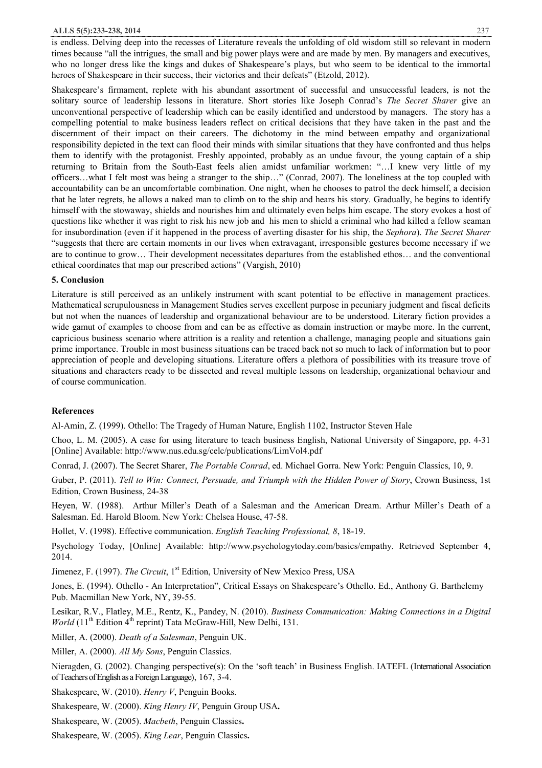#### **ALLS 5(5):233-238, 2014** 237

is endless. Delving deep into the recesses of Literature reveals the unfolding of old wisdom still so relevant in modern times because "all the intrigues, the small and big power plays were and are made by men. By managers and executives, who no longer dress like the kings and dukes of Shakespeare's plays, but who seem to be identical to the immortal heroes of Shakespeare in their success, their victories and their defeats" (Etzold, 2012).

Shakespeare's firmament, replete with his abundant assortment of successful and unsuccessful leaders, is not the solitary source of leadership lessons in literature. Short stories like Joseph Conrad's *The Secret Sharer* give an unconventional perspective of leadership which can be easily identified and understood by managers. The story has a compelling potential to make business leaders reflect on critical decisions that they have taken in the past and the discernment of their impact on their careers. The dichotomy in the mind between empathy and organizational responsibility depicted in the text can flood their minds with similar situations that they have confronted and thus helps them to identify with the protagonist. Freshly appointed, probably as an undue favour, the young captain of a ship returning to Britain from the South-East feels alien amidst unfamiliar workmen: "…I knew very little of my officers…what I felt most was being a stranger to the ship…" (Conrad, 2007). The loneliness at the top coupled with accountability can be an uncomfortable combination. One night, when he chooses to patrol the deck himself, a decision that he later regrets, he allows a naked man to climb on to the ship and hears his story. Gradually, he begins to identify himself with the stowaway, shields and nourishes him and ultimately even helps him escape. The story evokes a host of questions like whether it was right to risk his new job and his men to shield a criminal who had killed a fellow seaman for insubordination (even if it happened in the process of averting disaster for his ship, the *Sephora*). *The Secret Sharer* "suggests that there are certain moments in our lives when extravagant, irresponsible gestures become necessary if we are to continue to grow… Their development necessitates departures from the established ethos… and the conventional ethical coordinates that map our prescribed actions" (Vargish, 2010)

### **5. Conclusion**

Literature is still perceived as an unlikely instrument with scant potential to be effective in management practices. Mathematical scrupulousness in Management Studies serves excellent purpose in pecuniary judgment and fiscal deficits but not when the nuances of leadership and organizational behaviour are to be understood. Literary fiction provides a wide gamut of examples to choose from and can be as effective as domain instruction or maybe more. In the current, capricious business scenario where attrition is a reality and retention a challenge, managing people and situations gain prime importance. Trouble in most business situations can be traced back not so much to lack of information but to poor appreciation of people and developing situations. Literature offers a plethora of possibilities with its treasure trove of situations and characters ready to be dissected and reveal multiple lessons on leadership, organizational behaviour and of course communication.

#### **References**

Al-Amin, Z. (1999). Othello: The Tragedy of Human Nature, English 1102, Instructor Steven Hale

Choo, L. M. (2005). A case for using literature to teach business English, National University of Singapore, pp. 4-31 [Online] Available: http://www.nus.edu.sg/celc/publications/LimVol4.pdf

Conrad, J. (2007). The Secret Sharer, *The Portable Conrad*, ed. Michael Gorra. New York: Penguin Classics, 10, 9.

Guber, P. (2011). *Tell to Win: Connect, Persuade, and Triumph with the Hidden Power of Story*, Crown Business, 1st Edition, Crown Business, 24-38

Heyen, W. (1988). Arthur Miller's Death of a Salesman and the American Dream. Arthur Miller's Death of a Salesman. Ed. Harold Bloom. New York: Chelsea House, 47-58.

Hollet, V. (1998). Effective communication. *English Teaching Professional, 8*, 18-19.

Psychology Today, [Online] Available: http://www.psychologytoday.com/basics/empathy. Retrieved September 4, 2014.

Jimenez, F. (1997). *The Circuit*, 1<sup>st</sup> Edition, University of New Mexico Press, USA

Jones, E. (1994). Othello - An Interpretation", Critical Essays on Shakespeare's Othello. Ed., Anthony G. Barthelemy Pub. Macmillan New York, NY, 39-55.

Lesikar, R.V., Flatley, M.E., Rentz, K., Pandey, N. (2010). *Business Communication: Making Connections in a Digital World* (11<sup>th</sup> Edition 4<sup>th</sup> reprint) Tata McGraw-Hill, New Delhi, 131.

Miller, A. (2000). *Death of a Salesman*, Penguin UK.

Miller, A. (2000). *All My Sons*, Penguin Classics.

Nieragden, G. (2002). Changing perspective(s): On the 'soft teach' in Business English. IATEFL (International Association ofTeachersof Englishas aForeignLanguage), 167, 3-4.

Shakespeare, W. (2010). *Henry V*, Penguin Books.

Shakespeare, W. (2000). *King Henry IV*, Penguin Group USA**.** 

Shakespeare, W. (2005). *Macbeth*, Penguin Classics**.** 

Shakespeare, W. (2005). *King Lear*, Penguin Classics**.**